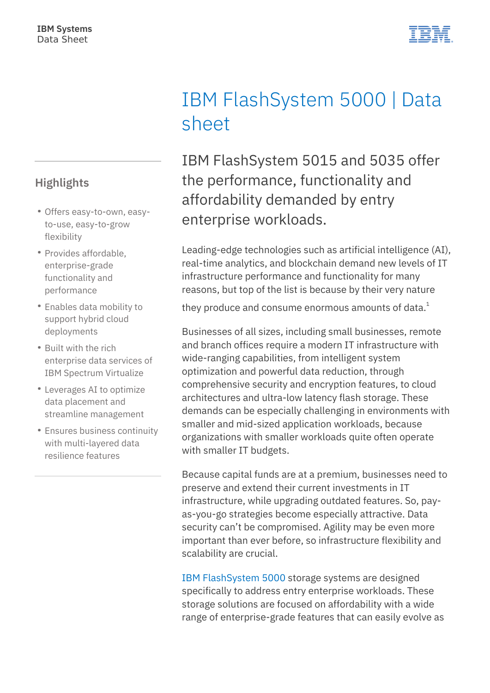#### **Highlights**

- Offers easy-to-own, easyto-use, easy-to-grow flexibility
- Provides affordable, enterprise-grade functionality and performance
- Enables data mobility to support hybrid cloud deployments
- Built with the rich enterprise data services of IBM Spectrum Virtualize
- Leverages AI to optimize data placement and streamline management
- Ensures business continuity with multi-layered data resilience features

# IBM FlashSystem 5000 | Data sheet

IBM FlashSystem 5015 and 5035 offer the performance, functionality and affordability demanded by entry enterprise workloads.

Leading-edge technologies such as artificial intelligence (AI), real-time analytics, and blockchain demand new levels of IT infrastructure performance and functionality for many reasons, but top of the list is because by their very nature

they produce and consume enormous amounts of data. $<sup>1</sup>$ </sup>

Businesses of all sizes, including small businesses, remote and branch offices require a modern IT infrastructure with wide-ranging capabilities, from intelligent system optimization and powerful data reduction, through comprehensive security and encryption features, to cloud architectures and ultra-low latency flash storage. These demands can be especially challenging in environments with smaller and mid-sized application workloads, because organizations with smaller workloads quite often operate with smaller IT budgets.

Because capital funds are at a premium, businesses need to preserve and extend their current investments in IT infrastructure, while upgrading outdated features. So, payas-you-go strategies become especially attractive. Data security can't be compromised. Agility may be even more important than ever before, so infrastructure flexibility and scalability are crucial.

[IBM FlashSystem 5000](https://cms.ibm.com/products/flashsystem-5000) storage systems are designed specifically to address entry enterprise workloads. These storage solutions are focused on affordability with a wide range of enterprise-grade features that can easily evolve as

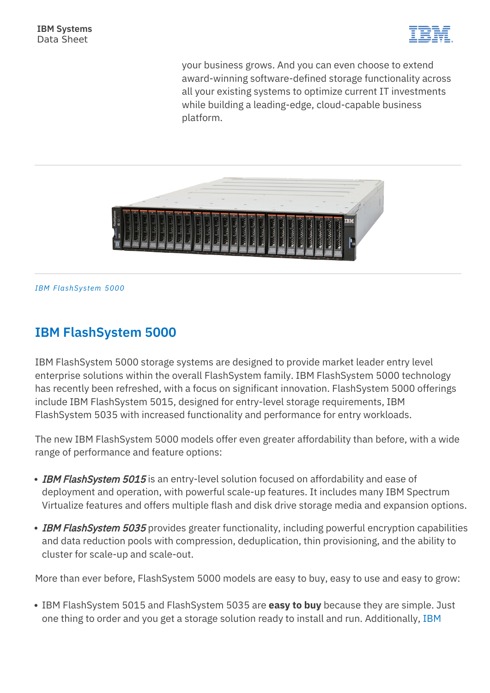

your business grows. And you can even choose to extend award-winning software-defined storage functionality across all your existing systems to optimize current IT investments while building a leading-edge, cloud-capable business platform.



*IBM FlashSystem 5000*

#### **IBM FlashSystem 5000**

IBM FlashSystem 5000 storage systems are designed to provide market leader entry level enterprise solutions within the overall FlashSystem family. IBM FlashSystem 5000 technology has recently been refreshed, with a focus on significant innovation. FlashSystem 5000 offerings include IBM FlashSystem 5015, designed for entry-level storage requirements, IBM FlashSystem 5035 with increased functionality and performance for entry workloads.

The new IBM FlashSystem 5000 models offer even greater affordability than before, with a wide range of performance and feature options:

- IBM FlashSystem 5015 is an entry-level solution focused on affordability and ease of deployment and operation, with powerful scale-up features. It includes many IBM Spectrum Virtualize features and offers multiple flash and disk drive storage media and expansion options.
- IBM FlashSystem 5035 provides greater functionality, including powerful encryption capabilities and data reduction pools with compression, deduplication, thin provisioning, and the ability to cluster for scale-up and scale-out.

More than ever before, FlashSystem 5000 models are easy to buy, easy to use and easy to grow:

IBM FlashSystem 5015 and FlashSystem 5035 are **easy to buy** because they are simple. Just one thing to order and you get a storage solution ready to install and run. Additionally, [IBM](https://cms.ibm.com/financing)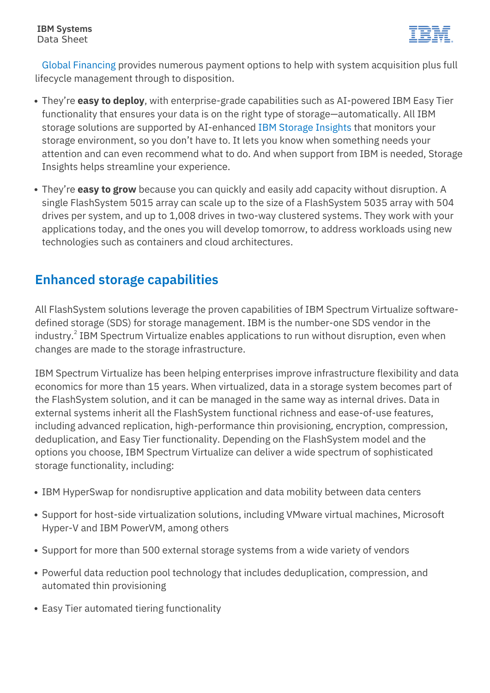

[Global Financing](https://cms.ibm.com/financing) provides numerous payment options to help with system acquisition plus full lifecycle management through to disposition.

- They're **easy to deploy**, with enterprise-grade capabilities such as AI-powered IBM Easy Tier functionality that ensures your data is on the right type of storage—automatically. All IBM storage solutions are supported by AI-enhanced [IBM Storage Insights](https://cms.ibm.com/products/analytics-driven-data-management) that monitors your storage environment, so you don't have to. It lets you know when something needs your attention and can even recommend what to do. And when support from IBM is needed, Storage Insights helps streamline your experience.
- They're **easy to grow** because you can quickly and easily add capacity without disruption. A single FlashSystem 5015 array can scale up to the size of a FlashSystem 5035 array with 504 drives per system, and up to 1,008 drives in two-way clustered systems. They work with your applications today, and the ones you will develop tomorrow, to address workloads using new technologies such as containers and cloud architectures.

#### **Enhanced storage capabilities**

All FlashSystem solutions leverage the proven capabilities of IBM Spectrum Virtualize softwaredefined storage (SDS) for storage management. IBM is the number-one SDS vendor in the industry. $^2$  IBM Spectrum Virtualize enables applications to run without disruption, even when changes are made to the storage infrastructure.

IBM Spectrum Virtualize has been helping enterprises improve infrastructure flexibility and data economics for more than 15 years. When virtualized, data in a storage system becomes part of the FlashSystem solution, and it can be managed in the same way as internal drives. Data in external systems inherit all the FlashSystem functional richness and ease-of-use features, including advanced replication, high-performance thin provisioning, encryption, compression, deduplication, and Easy Tier functionality. Depending on the FlashSystem model and the options you choose, IBM Spectrum Virtualize can deliver a wide spectrum of sophisticated storage functionality, including:

- IBM HyperSwap for nondisruptive application and data mobility between data centers
- Support for host-side virtualization solutions, including VMware virtual machines, Microsoft Hyper-V and IBM PowerVM, among others
- Support for more than 500 external storage systems from a wide variety of vendors
- Powerful data reduction pool technology that includes deduplication, compression, and automated thin provisioning
- Easy Tier automated tiering functionality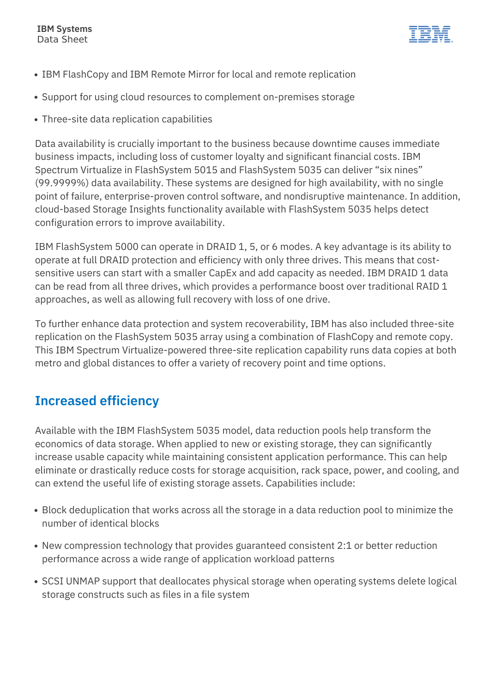

- IBM FlashCopy and IBM Remote Mirror for local and remote replication
- Support for using cloud resources to complement on-premises storage
- Three-site data replication capabilities

Data availability is crucially important to the business because downtime causes immediate business impacts, including loss of customer loyalty and significant financial costs. IBM Spectrum Virtualize in FlashSystem 5015 and FlashSystem 5035 can deliver "six nines" (99.9999%) data availability. These systems are designed for high availability, with no single point of failure, enterprise-proven control software, and nondisruptive maintenance. In addition, cloud-based Storage Insights functionality available with FlashSystem 5035 helps detect configuration errors to improve availability.

IBM FlashSystem 5000 can operate in DRAID 1, 5, or 6 modes. A key advantage is its ability to operate at full DRAID protection and efficiency with only three drives. This means that costsensitive users can start with a smaller CapEx and add capacity as needed. IBM DRAID 1 data can be read from all three drives, which provides a performance boost over traditional RAID 1 approaches, as well as allowing full recovery with loss of one drive.

To further enhance data protection and system recoverability, IBM has also included three-site replication on the FlashSystem 5035 array using a combination of FlashCopy and remote copy. This IBM Spectrum Virtualize-powered three-site replication capability runs data copies at both metro and global distances to offer a variety of recovery point and time options.

### **Increased efficiency**

Available with the IBM FlashSystem 5035 model, data reduction pools help transform the economics of data storage. When applied to new or existing storage, they can significantly increase usable capacity while maintaining consistent application performance. This can help eliminate or drastically reduce costs for storage acquisition, rack space, power, and cooling, and can extend the useful life of existing storage assets. Capabilities include:

- Block deduplication that works across all the storage in a data reduction pool to minimize the number of identical blocks
- New compression technology that provides guaranteed consistent 2:1 or better reduction performance across a wide range of application workload patterns
- SCSI UNMAP support that deallocates physical storage when operating systems delete logical storage constructs such as files in a file system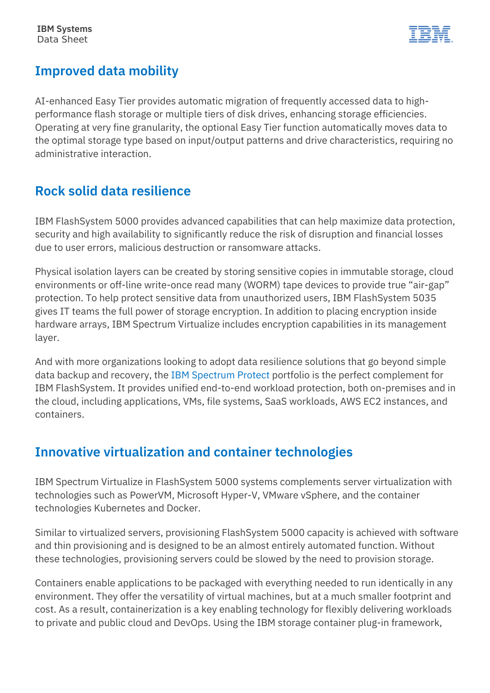

### **Improved data mobility**

AI-enhanced Easy Tier provides automatic migration of frequently accessed data to highperformance flash storage or multiple tiers of disk drives, enhancing storage efficiencies. Operating at very fine granularity, the optional Easy Tier function automatically moves data to the optimal storage type based on input/output patterns and drive characteristics, requiring no administrative interaction.

#### **Rock solid data resilience**

IBM FlashSystem 5000 provides advanced capabilities that can help maximize data protection, security and high availability to significantly reduce the risk of disruption and financial losses due to user errors, malicious destruction or ransomware attacks.

Physical isolation layers can be created by storing sensitive copies in immutable storage, cloud environments or off-line write-once read many (WORM) tape devices to provide true "air-gap" protection. To help protect sensitive data from unauthorized users, IBM FlashSystem 5035 gives IT teams the full power of storage encryption. In addition to placing encryption inside hardware arrays, IBM Spectrum Virtualize includes encryption capabilities in its management layer.

And with more organizations looking to adopt data resilience solutions that go beyond simple data backup and recovery, the [IBM Spectrum Protect](https://cms.ibm.com/it-infrastructure/storage/data-protection) portfolio is the perfect complement for IBM FlashSystem. It provides unified end-to-end workload protection, both on-premises and in the cloud, including applications, VMs, file systems, SaaS workloads, AWS EC2 instances, and containers.

#### **Innovative virtualization and container technologies**

IBM Spectrum Virtualize in FlashSystem 5000 systems complements server virtualization with technologies such as PowerVM, Microsoft Hyper-V, VMware vSphere, and the container technologies Kubernetes and Docker.

Similar to virtualized servers, provisioning FlashSystem 5000 capacity is achieved with software and thin provisioning and is designed to be an almost entirely automated function. Without these technologies, provisioning servers could be slowed by the need to provision storage.

Containers enable applications to be packaged with everything needed to run identically in any environment. They offer the versatility of virtual machines, but at a much smaller footprint and cost. As a result, containerization is a key enabling technology for flexibly delivering workloads to private and public cloud and DevOps. Using the IBM storage container plug-in framework,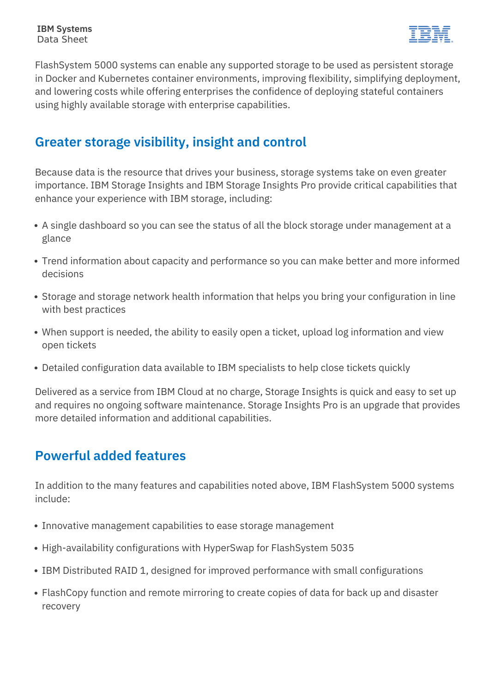

FlashSystem 5000 systems can enable any supported storage to be used as persistent storage in Docker and Kubernetes container environments, improving flexibility, simplifying deployment, and lowering costs while offering enterprises the confidence of deploying stateful containers using highly available storage with enterprise capabilities.

#### **Greater storage visibility, insight and control**

Because data is the resource that drives your business, storage systems take on even greater importance. IBM Storage Insights and IBM Storage Insights Pro provide critical capabilities that enhance your experience with IBM storage, including:

- A single dashboard so you can see the status of all the block storage under management at a glance
- Trend information about capacity and performance so you can make better and more informed decisions
- Storage and storage network health information that helps you bring your configuration in line with best practices
- When support is needed, the ability to easily open a ticket, upload log information and view open tickets
- Detailed configuration data available to IBM specialists to help close tickets quickly

Delivered as a service from IBM Cloud at no charge, Storage Insights is quick and easy to set up and requires no ongoing software maintenance. Storage Insights Pro is an upgrade that provides more detailed information and additional capabilities.

# **Powerful added features**

In addition to the many features and capabilities noted above, IBM FlashSystem 5000 systems include:

- Innovative management capabilities to ease storage management
- High-availability configurations with HyperSwap for FlashSystem 5035
- IBM Distributed RAID 1, designed for improved performance with small configurations
- FlashCopy function and remote mirroring to create copies of data for back up and disaster recovery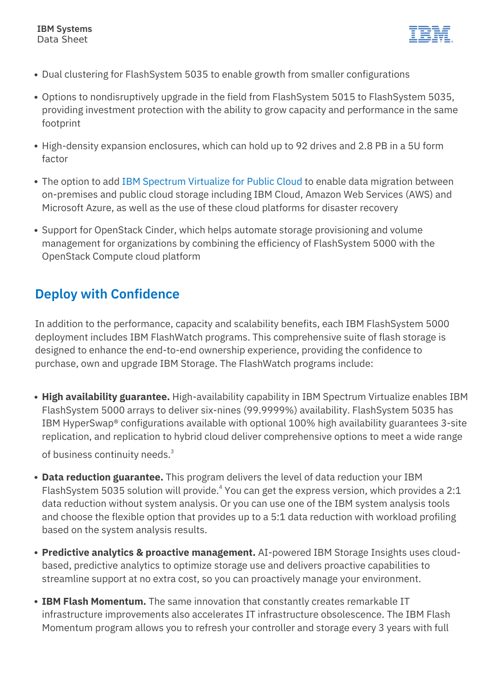

- Dual clustering for FlashSystem 5035 to enable growth from smaller configurations
- Options to nondisruptively upgrade in the field from FlashSystem 5015 to FlashSystem 5035, providing investment protection with the ability to grow capacity and performance in the same footprint
- High-density expansion enclosures, which can hold up to 92 drives and 2.8 PB in a 5U form factor
- The option to add [IBM Spectrum Virtualize for Public Cloud](https://cms.ibm.com/products/spectrum-virtualize-for-public-cloud) to enable data migration between on-premises and public cloud storage including IBM Cloud, Amazon Web Services (AWS) and Microsoft Azure, as well as the use of these cloud platforms for disaster recovery
- Support for OpenStack Cinder, which helps automate storage provisioning and volume management for organizations by combining the efficiency of FlashSystem 5000 with the OpenStack Compute cloud platform

### **Deploy with Confidence**

In addition to the performance, capacity and scalability benefits, each IBM FlashSystem 5000 deployment includes IBM FlashWatch programs. This comprehensive suite of flash storage is designed to enhance the end-to-end ownership experience, providing the confidence to purchase, own and upgrade IBM Storage. The FlashWatch programs include:

- **High availability guarantee.** High-availability capability in IBM Spectrum Virtualize enables IBM FlashSystem 5000 arrays to deliver six-nines (99.9999%) availability. FlashSystem 5035 has IBM HyperSwap® configurations available with optional 100% high availability guarantees 3-site replication, and replication to hybrid cloud deliver comprehensive options to meet a wide range of business continuity needs.<sup>3</sup>
- **Data reduction guarantee.** This program delivers the level of data reduction your IBM FlashSystem 5035 solution will provide.<sup>4</sup> You can get the express version, which provides a 2:1 data reduction without system analysis. Or you can use one of the IBM system analysis tools and choose the flexible option that provides up to a 5:1 data reduction with workload profiling based on the system analysis results.
- **Predictive analytics & proactive management.** AI-powered IBM Storage Insights uses cloudbased, predictive analytics to optimize storage use and delivers proactive capabilities to streamline support at no extra cost, so you can proactively manage your environment.
- **IBM Flash Momentum.** The same innovation that constantly creates remarkable IT infrastructure improvements also accelerates IT infrastructure obsolescence. The IBM Flash Momentum program allows you to refresh your controller and storage every 3 years with full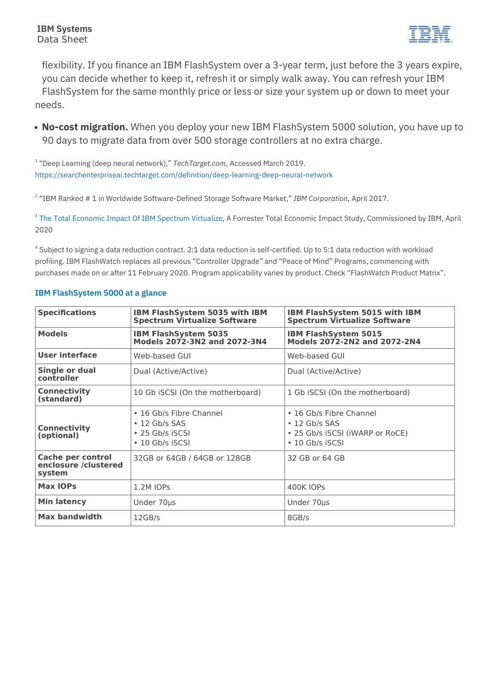

flexibility. If you finance an IBM FlashSystem over a 3-year term, just before the 3 years expire, you can decide whether to keep it, refresh it or simply walk away. You can refresh your IBM FlashSystem for the same monthly price or less or size your system up or down to meet your needs.

**No-cost migration.** When you deploy your new IBM FlashSystem 5000 solution, you have up to 90 days to migrate data from over 500 storage controllers at no extra charge.

1 "Deep Learning (deep neural network)," *TechTarget.com*, Accessed March 2019. <https://searchenterpriseai.techtarget.com/definition/deep-learning-deep-neural-network>

2 "IBM Ranked # 1 in Worldwide Software-Defined Storage Software Market," *IBM Corporation*, April 2017.

<sup>3</sup> [The Total Economic Impact Of IBM Spectrum Virtualize,](https://www.ibm.com/downloads/cas/GD3OW32Z) A Forrester Total Economic Impact Study, Commissioned by IBM, April 2020

<sup>4</sup> Subject to signing a data reduction contract. 2:1 data reduction is self-certified. Up to 5:1 data reduction with workload profiling. IBM FlashWatch replaces all previous "Controller Upgrade" and "Peace of Mind" Programs, commencing with purchases made on or after 11 February 2020. Program applicability varies by product. Check "FlashWatch Product Matrix".

| <b>Specifications</b>                                      | <b>IBM FlashSystem 5035 with IBM</b><br><b>Spectrum Virtualize Software</b>          | IBM FlashSystem 5015 with IBM<br><b>Spectrum Virtualize Software</b>                                 |
|------------------------------------------------------------|--------------------------------------------------------------------------------------|------------------------------------------------------------------------------------------------------|
| <b>Models</b>                                              | <b>IBM FlashSystem 5035</b><br>Models 2072-3N2 and 2072-3N4                          | <b>IBM FlashSystem 5015</b><br>Models 2072-2N2 and 2072-2N4                                          |
| User interface                                             | Web-based GUI                                                                        | Web-based GUI                                                                                        |
| Single or dual<br>controller                               | Dual (Active/Active)                                                                 | Dual (Active/Active)                                                                                 |
| <b>Connectivity</b><br>(standard)                          | 10 Gb iSCSI (On the motherboard)                                                     | 1 Gb iSCSI (On the motherboard)                                                                      |
| <b>Connectivity</b><br>(optional)                          | • 16 Gb/s Fibre Channel<br>$\cdot$ 12 Gb/s SAS<br>• 25 Gb/s iSCSI<br>• 10 Gb/s iSCSI | • 16 Gb/s Fibre Channel<br>$\cdot$ 12 Gb/s SAS<br>• 25 Gb/s iSCSI (iWARP or RoCE)<br>• 10 Gb/s iSCSI |
| <b>Cache per control</b><br>enclosure /clustered<br>system | 32GB or 64GB / 64GB or 128GB                                                         | 32 GB or 64 GB                                                                                       |
| <b>Max IOPs</b>                                            | 1.2M IOPs                                                                            | <b>400K IOPS</b>                                                                                     |
| <b>Min latency</b>                                         | Under 70µs                                                                           | Under 70µs                                                                                           |
| <b>Max bandwidth</b>                                       | 12GB/s                                                                               | 8GB/s                                                                                                |

#### **IBM FlashSystem 5000 at a glance**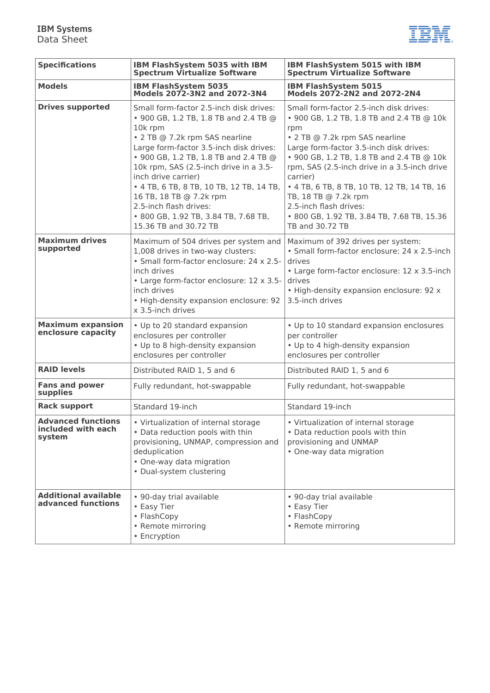

| <b>Specifications</b>                                     | IBM FlashSystem 5035 with IBM<br><b>Spectrum Virtualize Software</b>                                                                                                                                                                                                                                                                                                                                                                                 | IBM FlashSystem 5015 with IBM<br><b>Spectrum Virtualize Software</b>                                                                                                                                                                                                                                                                                                                                                                                |
|-----------------------------------------------------------|------------------------------------------------------------------------------------------------------------------------------------------------------------------------------------------------------------------------------------------------------------------------------------------------------------------------------------------------------------------------------------------------------------------------------------------------------|-----------------------------------------------------------------------------------------------------------------------------------------------------------------------------------------------------------------------------------------------------------------------------------------------------------------------------------------------------------------------------------------------------------------------------------------------------|
| <b>Models</b>                                             | <b>IBM FlashSystem 5035</b><br>Models 2072-3N2 and 2072-3N4                                                                                                                                                                                                                                                                                                                                                                                          | <b>IBM FlashSystem 5015</b><br>Models 2072-2N2 and 2072-2N4                                                                                                                                                                                                                                                                                                                                                                                         |
| <b>Drives supported</b>                                   | Small form-factor 2.5-inch disk drives:<br>• 900 GB, 1.2 TB, 1.8 TB and 2.4 TB @<br>10k rpm<br>• 2 TB @ 7.2k rpm SAS nearline<br>Large form-factor 3.5-inch disk drives:<br>• 900 GB, 1.2 TB, 1.8 TB and 2.4 TB @<br>10k rpm, SAS (2.5-inch drive in a 3.5-<br>inch drive carrier)<br>• 4 TB, 6 TB, 8 TB, 10 TB, 12 TB, 14 TB,<br>16 TB, 18 TB @ 7.2k rpm<br>2.5-inch flash drives:<br>• 800 GB, 1.92 TB, 3.84 TB, 7.68 TB,<br>15.36 TB and 30.72 TB | Small form-factor 2.5-inch disk drives:<br>• 900 GB, 1.2 TB, 1.8 TB and 2.4 TB @ 10k<br>rpm<br>• 2 TB @ 7.2k rpm SAS nearline<br>Large form-factor 3.5-inch disk drives:<br>• 900 GB, 1.2 TB, 1.8 TB and 2.4 TB @ 10k<br>rpm, SAS (2.5-inch drive in a 3.5-inch drive<br>carrier)<br>• 4 TB, 6 TB, 8 TB, 10 TB, 12 TB, 14 TB, 16<br>TB, 18 TB @ 7.2k rpm<br>2.5-inch flash drives:<br>• 800 GB, 1.92 TB, 3.84 TB, 7.68 TB, 15.36<br>TB and 30.72 TB |
| <b>Maximum drives</b><br>supported                        | Maximum of 504 drives per system and<br>1,008 drives in two-way clusters:<br>· Small form-factor enclosure: 24 x 2.5-<br>inch drives<br>• Large form-factor enclosure: 12 x 3.5-<br>inch drives<br>• High-density expansion enclosure: 92<br>x 3.5-inch drives                                                                                                                                                                                       | Maximum of 392 drives per system:<br>• Small form-factor enclosure: 24 x 2.5-inch<br>drives<br>• Large form-factor enclosure: 12 x 3.5-inch<br>drives<br>. High-density expansion enclosure: 92 x<br>3.5-inch drives                                                                                                                                                                                                                                |
| <b>Maximum expansion</b><br>enclosure capacity            | • Up to 20 standard expansion<br>enclosures per controller<br>• Up to 8 high-density expansion<br>enclosures per controller                                                                                                                                                                                                                                                                                                                          | • Up to 10 standard expansion enclosures<br>per controller<br>• Up to 4 high-density expansion<br>enclosures per controller                                                                                                                                                                                                                                                                                                                         |
| <b>RAID levels</b>                                        | Distributed RAID 1, 5 and 6                                                                                                                                                                                                                                                                                                                                                                                                                          | Distributed RAID 1, 5 and 6                                                                                                                                                                                                                                                                                                                                                                                                                         |
| <b>Fans and power</b><br>supplies                         | Fully redundant, hot-swappable                                                                                                                                                                                                                                                                                                                                                                                                                       | Fully redundant, hot-swappable                                                                                                                                                                                                                                                                                                                                                                                                                      |
| <b>Rack support</b>                                       | Standard 19-inch                                                                                                                                                                                                                                                                                                                                                                                                                                     | Standard 19-inch                                                                                                                                                                                                                                                                                                                                                                                                                                    |
| <b>Advanced functions</b><br>included with each<br>system | • Virtualization of internal storage<br>• Data reduction pools with thin<br>provisioning, UNMAP, compression and<br>deduplication<br>• One-way data migration<br>• Dual-system clustering                                                                                                                                                                                                                                                            | • Virtualization of internal storage<br>• Data reduction pools with thin<br>provisioning and UNMAP<br>• One-way data migration                                                                                                                                                                                                                                                                                                                      |
| <b>Additional available</b><br>advanced functions         | • 90-day trial available<br>• Easy Tier<br>• FlashCopy<br>• Remote mirroring<br>• Encryption                                                                                                                                                                                                                                                                                                                                                         | • 90-day trial available<br>• Easy Tier<br>• FlashCopy<br>• Remote mirroring                                                                                                                                                                                                                                                                                                                                                                        |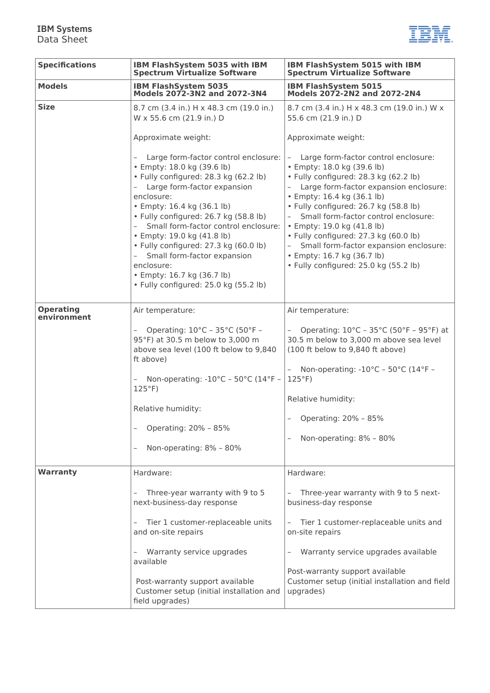#### **IBM Systems** Data Sheet



| <b>Specifications</b>           | IBM FlashSystem 5035 with IBM<br><b>Spectrum Virtualize Software</b>                                                                                                                                                                                                                                                                                                                                                                                                   | IBM FlashSystem 5015 with IBM<br><b>Spectrum Virtualize Software</b>                                                                                                                                                                                                                                                                                                                                                                                           |
|---------------------------------|------------------------------------------------------------------------------------------------------------------------------------------------------------------------------------------------------------------------------------------------------------------------------------------------------------------------------------------------------------------------------------------------------------------------------------------------------------------------|----------------------------------------------------------------------------------------------------------------------------------------------------------------------------------------------------------------------------------------------------------------------------------------------------------------------------------------------------------------------------------------------------------------------------------------------------------------|
| <b>Models</b>                   | <b>IBM FlashSystem 5035</b><br>Models 2072-3N2 and 2072-3N4                                                                                                                                                                                                                                                                                                                                                                                                            | <b>IBM FlashSystem 5015</b><br>Models 2072-2N2 and 2072-2N4                                                                                                                                                                                                                                                                                                                                                                                                    |
| <b>Size</b>                     | 8.7 cm (3.4 in.) H x 48.3 cm (19.0 in.)<br>W x 55.6 cm (21.9 in.) D                                                                                                                                                                                                                                                                                                                                                                                                    | 8.7 cm (3.4 in.) H x 48.3 cm (19.0 in.) W x<br>55.6 cm (21.9 in.) D                                                                                                                                                                                                                                                                                                                                                                                            |
|                                 | Approximate weight:                                                                                                                                                                                                                                                                                                                                                                                                                                                    | Approximate weight:                                                                                                                                                                                                                                                                                                                                                                                                                                            |
|                                 | - Large form-factor control enclosure:<br>• Empty: 18.0 kg (39.6 lb)<br>· Fully configured: 28.3 kg (62.2 lb)<br>- Large form-factor expansion<br>enclosure:<br>• Empty: 16.4 kg (36.1 lb)<br>· Fully configured: 26.7 kg (58.8 lb)<br>Small form-factor control enclosure:<br>• Empty: 19.0 kg (41.8 lb)<br>· Fully configured: 27.3 kg (60.0 lb)<br>Small form-factor expansion<br>enclosure:<br>• Empty: 16.7 kg (36.7 lb)<br>· Fully configured: 25.0 kg (55.2 lb) | Large form-factor control enclosure:<br>• Empty: 18.0 kg (39.6 lb)<br>· Fully configured: 28.3 kg (62.2 lb)<br>- Large form-factor expansion enclosure:<br>• Empty: 16.4 kg (36.1 lb)<br>· Fully configured: 26.7 kg (58.8 lb)<br>Small form-factor control enclosure:<br>• Empty: 19.0 kg (41.8 lb)<br>· Fully configured: 27.3 kg (60.0 lb)<br>Small form-factor expansion enclosure:<br>• Empty: 16.7 kg (36.7 lb)<br>· Fully configured: 25.0 kg (55.2 lb) |
| <b>Operating</b><br>environment | Air temperature:                                                                                                                                                                                                                                                                                                                                                                                                                                                       | Air temperature:                                                                                                                                                                                                                                                                                                                                                                                                                                               |
|                                 | - Operating: $10^{\circ}$ C - 35 $^{\circ}$ C (50 $^{\circ}$ F -<br>95°F) at 30.5 m below to 3,000 m<br>above sea level (100 ft below to 9,840<br>ft above)                                                                                                                                                                                                                                                                                                            | Operating: 10°C - 35°C (50°F - 95°F) at<br>30.5 m below to 3,000 m above sea level<br>(100 ft below to 9,840 ft above)                                                                                                                                                                                                                                                                                                                                         |
|                                 | Non-operating: -10°C - 50°C (14°F -<br>$125^{\circ}F$                                                                                                                                                                                                                                                                                                                                                                                                                  | - Non-operating: $-10^{\circ}$ C - 50°C (14°F -<br>$125^{\circ}F$                                                                                                                                                                                                                                                                                                                                                                                              |
|                                 | Relative humidity:                                                                                                                                                                                                                                                                                                                                                                                                                                                     | Relative humidity:<br>Operating: 20% - 85%                                                                                                                                                                                                                                                                                                                                                                                                                     |
|                                 | Operating: 20% - 85%                                                                                                                                                                                                                                                                                                                                                                                                                                                   | Non-operating: 8% - 80%                                                                                                                                                                                                                                                                                                                                                                                                                                        |
|                                 | Non-operating: 8% - 80%                                                                                                                                                                                                                                                                                                                                                                                                                                                |                                                                                                                                                                                                                                                                                                                                                                                                                                                                |
| <b>Warranty</b>                 | Hardware:                                                                                                                                                                                                                                                                                                                                                                                                                                                              | Hardware:                                                                                                                                                                                                                                                                                                                                                                                                                                                      |
|                                 | Three-year warranty with 9 to 5<br>$\overline{\phantom{a}}$<br>next-business-day response                                                                                                                                                                                                                                                                                                                                                                              | Three-year warranty with 9 to 5 next-<br>business-day response                                                                                                                                                                                                                                                                                                                                                                                                 |
|                                 | Tier 1 customer-replaceable units<br>$\overline{\phantom{a}}$<br>and on-site repairs                                                                                                                                                                                                                                                                                                                                                                                   | Tier 1 customer-replaceable units and<br>on-site repairs                                                                                                                                                                                                                                                                                                                                                                                                       |
|                                 | Warranty service upgrades<br>available                                                                                                                                                                                                                                                                                                                                                                                                                                 | Warranty service upgrades available                                                                                                                                                                                                                                                                                                                                                                                                                            |
|                                 | Post-warranty support available<br>Customer setup (initial installation and<br>field upgrades)                                                                                                                                                                                                                                                                                                                                                                         | Post-warranty support available<br>Customer setup (initial installation and field<br>upgrades)                                                                                                                                                                                                                                                                                                                                                                 |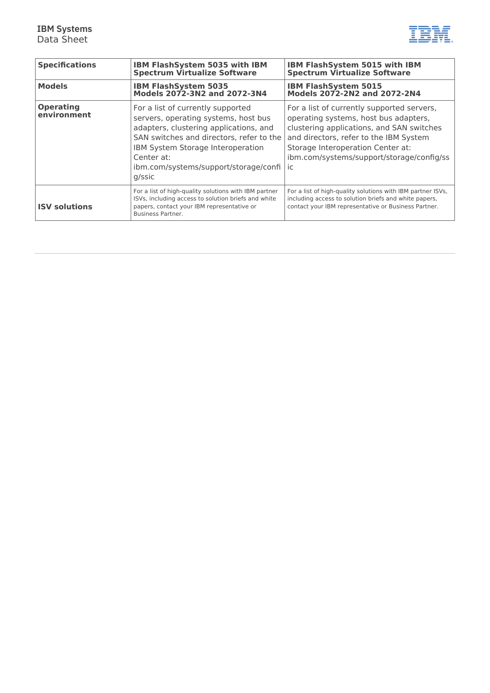

| <b>Specifications</b>           | IBM FlashSystem 5035 with IBM<br><b>Spectrum Virtualize Software</b>                                                                                                                                                                                                  | <b>IBM FlashSystem 5015 with IBM</b><br><b>Spectrum Virtualize Software</b>                                                                                                                                                                                        |
|---------------------------------|-----------------------------------------------------------------------------------------------------------------------------------------------------------------------------------------------------------------------------------------------------------------------|--------------------------------------------------------------------------------------------------------------------------------------------------------------------------------------------------------------------------------------------------------------------|
| <b>Models</b>                   | <b>IBM FlashSystem 5035</b><br>Models 2072-3N2 and 2072-3N4                                                                                                                                                                                                           | <b>IBM FlashSystem 5015</b><br>Models 2072-2N2 and 2072-2N4                                                                                                                                                                                                        |
| <b>Operating</b><br>environment | For a list of currently supported<br>servers, operating systems, host bus<br>adapters, clustering applications, and<br>SAN switches and directors, refer to the<br>IBM System Storage Interoperation<br>Center at:<br>ibm.com/systems/support/storage/confi<br>g/ssic | For a list of currently supported servers,<br>operating systems, host bus adapters,<br>clustering applications, and SAN switches<br>and directors, refer to the IBM System<br>Storage Interoperation Center at:<br>ibm.com/systems/support/storage/config/ss<br>ic |
| <b>ISV solutions</b>            | For a list of high-quality solutions with IBM partner<br>ISVs, including access to solution briefs and white<br>papers, contact your IBM representative or<br><b>Business Partner.</b>                                                                                | For a list of high-quality solutions with IBM partner ISVs,<br>including access to solution briefs and white papers,<br>contact your IBM representative or Business Partner.                                                                                       |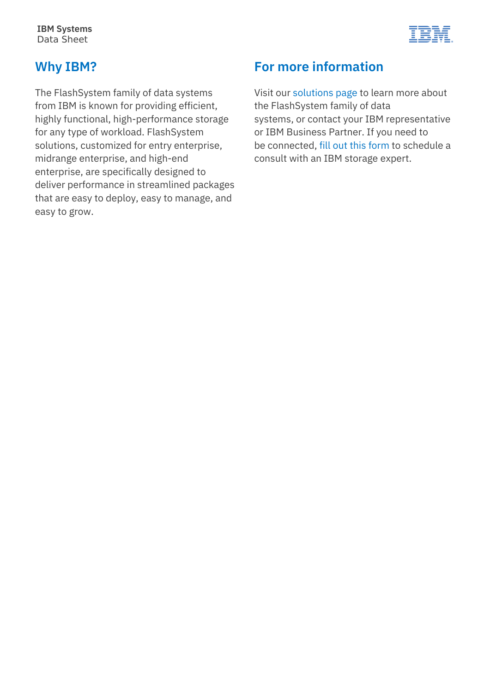

#### **Why IBM?**

The FlashSystem family of data systems from IBM is known for providing efficient, highly functional, high-performance storage for any type of workload. FlashSystem solutions, customized for entry enterprise, midrange enterprise, and high-end enterprise, are specifically designed to deliver performance in streamlined packages that are easy to deploy, easy to manage, and easy to grow.

## **For more information**

Visit our [solutions page](https://www.ibm.com/it-infrastructure/storage/flash) to learn more about the FlashSystem family of data systems, or contact your IBM representative or IBM Business Partner. If you need to be connected, [fill out this form](https://www.ibm.com/account/reg/subscribe?formid=MAIL-storage) to schedule a consult with an IBM storage expert.